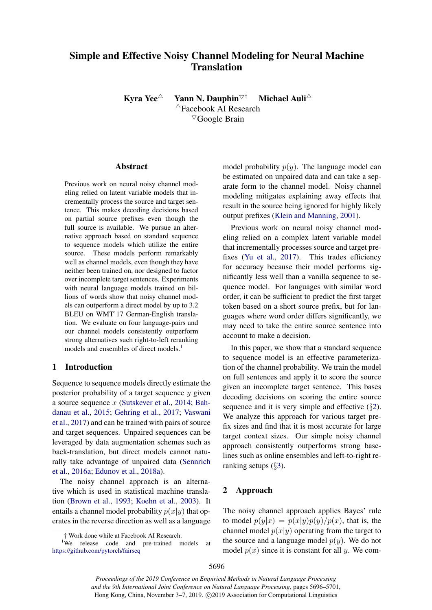# Simple and Effective Noisy Channel Modeling for Neural Machine **Translation**

Kyra Yee<sup>△</sup> Yann N. Dauphin<sup>▽†</sup> Michael Auli<sup>△</sup>  $\triangle$ Facebook AI Research  $\nabla$ Google Brain

### Abstract

Previous work on neural noisy channel modeling relied on latent variable models that incrementally process the source and target sentence. This makes decoding decisions based on partial source prefixes even though the full source is available. We pursue an alternative approach based on standard sequence to sequence models which utilize the entire source. These models perform remarkably well as channel models, even though they have neither been trained on, nor designed to factor over incomplete target sentences. Experiments with neural language models trained on billions of words show that noisy channel models can outperform a direct model by up to 3.2 BLEU on WMT'17 German-English translation. We evaluate on four language-pairs and our channel models consistently outperform strong alternatives such right-to-left reranking models and ensembles of direct models.<sup>1</sup>

# 1 Introduction

Sequence to sequence models directly estimate the posterior probability of a target sequence *y* given a source sequence *x* [\(Sutskever et al.,](#page-5-0) [2014;](#page-5-0) [Bah](#page-4-0)[danau et al.,](#page-4-0) [2015;](#page-4-0) [Gehring et al.,](#page-4-1) [2017;](#page-4-1) [Vaswani](#page-5-1) [et al.,](#page-5-1) [2017\)](#page-5-1) and can be trained with pairs of source and target sequences. Unpaired sequences can be leveraged by data augmentation schemes such as back-translation, but direct models cannot naturally take advantage of unpaired data [\(Sennrich](#page-5-2) [et al.,](#page-5-2) [2016a;](#page-5-2) [Edunov et al.,](#page-4-2) [2018a\)](#page-4-2).

The noisy channel approach is an alternative which is used in statistical machine translation [\(Brown et al.,](#page-4-3) [1993;](#page-4-3) [Koehn et al.,](#page-5-3) [2003\)](#page-5-3). It entails a channel model probability  $p(x|y)$  that operates in the reverse direction as well as a language

model probability  $p(y)$ . The language model can be estimated on unpaired data and can take a separate form to the channel model. Noisy channel modeling mitigates explaining away effects that result in the source being ignored for highly likely output prefixes [\(Klein and Manning,](#page-5-4) [2001\)](#page-5-4).

Previous work on neural noisy channel modeling relied on a complex latent variable model that incrementally processes source and target prefixes [\(Yu et al.,](#page-5-5) [2017\)](#page-5-5). This trades efficiency for accuracy because their model performs significantly less well than a vanilla sequence to sequence model. For languages with similar word order, it can be sufficient to predict the first target token based on a short source prefix, but for languages where word order differs significantly, we may need to take the entire source sentence into account to make a decision.

In this paper, we show that a standard sequence to sequence model is an effective parameterization of the channel probability. We train the model on full sentences and apply it to score the source given an incomplete target sentence. This bases decoding decisions on scoring the entire source sequence and it is very simple and effective (*§*[2\)](#page-0-1). We analyze this approach for various target prefix sizes and find that it is most accurate for large target context sizes. Our simple noisy channel approach consistently outperforms strong baselines such as online ensembles and left-to-right reranking setups (*§*[3\)](#page-1-0).

# <span id="page-0-1"></span>2 Approach

The noisy channel approach applies Bayes' rule to model  $p(y|x) = p(x|y)p(y)/p(x)$ , that is, the channel model  $p(x|y)$  operating from the target to the source and a language model  $p(y)$ . We do not model  $p(x)$  since it is constant for all *y*. We com-

<span id="page-0-0"></span>*<sup>†</sup>* Work done while at Facebook AI Research. <sup>1</sup>

<sup>&</sup>lt;sup>1</sup>We release code and pre-trained models at [https://github.com/pytorch/fairseq](https://github.com/pytorch/fairseq/tree/master/examples/noisychannel)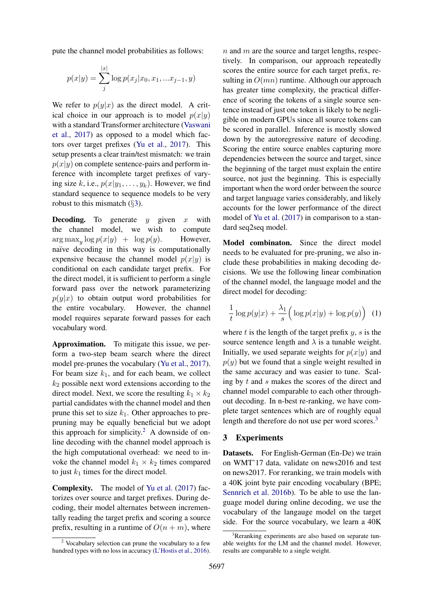pute the channel model probabilities as follows:

$$
p(x|y) = \sum_{j}^{|x|} \log p(x_j|x_0, x_1, ... x_{j-1}, y)
$$

We refer to  $p(y|x)$  as the direct model. A critical choice in our approach is to model  $p(x|y)$ with a standard Transformer architecture [\(Vaswani](#page-5-1) [et al.,](#page-5-1) [2017\)](#page-5-1) as opposed to a model which factors over target prefixes [\(Yu et al.,](#page-5-5) [2017\)](#page-5-5). This setup presents a clear train/test mismatch: we train  $p(x|y)$  on complete sentence-pairs and perform inference with incomplete target prefixes of varying size *k*, i.e.,  $p(x|y_1, \ldots, y_k)$ . However, we find standard sequence to sequence models to be very robust to this mismatch (*§*[3\)](#page-1-0).

Decoding. To generate *y* given *x* with the channel model, we wish to compute  $\arg \max_{y} \log p(x|y) + \log p(y).$  However, naïve decoding in this way is computationally expensive because the channel model  $p(x|y)$  is conditional on each candidate target prefix. For the direct model, it is sufficient to perform a single forward pass over the network parameterizing  $p(y|x)$  to obtain output word probabilities for the entire vocabulary. However, the channel However, the channel model requires separate forward passes for each vocabulary word.

Approximation. To mitigate this issue, we perform a two-step beam search where the direct model pre-prunes the vocabulary [\(Yu et al.,](#page-5-5) [2017\)](#page-5-5). For beam size  $k_1$ , and for each beam, we collect *k*<sup>2</sup> possible next word extensions according to the direct model. Next, we score the resulting  $k_1 \times k_2$ partial candidates with the channel model and then prune this set to size  $k_1$ . Other approaches to prepruning may be equally beneficial but we adopt this approach for simplicity.<sup>2</sup> A downside of online decoding with the channel model approach is the high computational overhead: we need to invoke the channel model  $k_1 \times k_2$  times compared to just  $k_1$  times for the direct model.

Complexity. The model of [Yu et al.](#page-5-5) [\(2017\)](#page-5-5) factorizes over source and target prefixes. During decoding, their model alternates between incrementally reading the target prefix and scoring a source prefix, resulting in a runtime of  $O(n+m)$ , where

*n* and *m* are the source and target lengths, respectively. In comparison, our approach repeatedly scores the entire source for each target prefix, resulting in *O*(*mn*) runtime. Although our approach has greater time complexity, the practical difference of scoring the tokens of a single source sentence instead of just one token is likely to be negligible on modern GPUs since all source tokens can be scored in parallel. Inference is mostly slowed down by the autoregressive nature of decoding. Scoring the entire source enables capturing more dependencies between the source and target, since the beginning of the target must explain the entire source, not just the beginning. This is especially important when the word order between the source and target language varies considerably, and likely accounts for the lower performance of the direct model of [Yu et al.](#page-5-5) [\(2017\)](#page-5-5) in comparison to a standard seq2seq model.

Model combinaton. Since the direct model needs to be evaluated for pre-pruning, we also include these probabilities in making decoding decisions. We use the following linear combination of the channel model, the language model and the direct model for decoding:

$$
\frac{1}{t}\log p(y|x) + \frac{\lambda_1}{s} \Big(\log p(x|y) + \log p(y)\Big) \tag{1}
$$

where *t* is the length of the target prefix *y*, *s* is the source sentence length and  $\lambda$  is a tunable weight. Initially, we used separate weights for  $p(x|y)$  and  $p(y)$  but we found that a single weight resulted in the same accuracy and was easier to tune. Scaling by *t* and *s* makes the scores of the direct and channel model comparable to each other throughout decoding. In n-best re-ranking, we have complete target sentences which are of roughly equal length and therefore do not use per word scores.<sup>3</sup>

## <span id="page-1-0"></span>3 Experiments

Datasets. For English-German (En-De) we train on WMT'17 data, validate on news2016 and test on news2017. For reranking, we train models with a 40K joint byte pair encoding vocabulary (BPE; [Sennrich et al.](#page-5-7) [2016b\)](#page-5-7). To be able to use the language model during online decoding, we use the vocabulary of the langauge model on the target side. For the source vocabulary, we learn a 40K

<span id="page-1-1"></span><sup>2</sup> Vocabulary selection can prune the vocabulary to a few hundred types with no loss in accuracy [\(L'Hostis et al.,](#page-5-6) [2016\)](#page-5-6).

<span id="page-1-2"></span><sup>&</sup>lt;sup>3</sup>Reranking experiments are also based on separate tunable weights for the LM and the channel model. However, results are comparable to a single weight.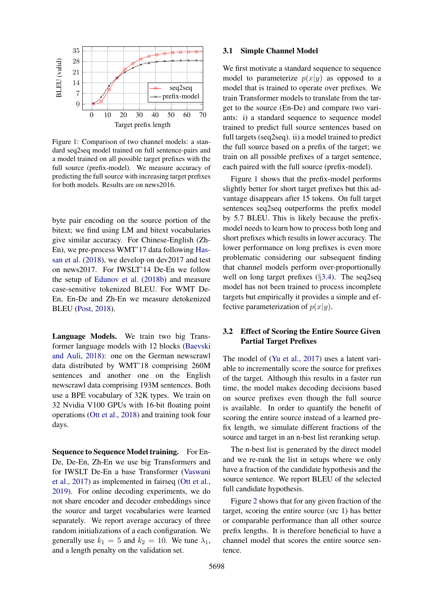<span id="page-2-0"></span>

Figure 1: Comparison of two channel models: a standard seq2seq model trained on full sentence-pairs and a model trained on all possible target prefixes with the full source (prefix-model). We measure accuracy of predicting the full source with increasing target prefixes for both models. Results are on news2016.

byte pair encoding on the source portion of the bitext; we find using LM and bitext vocabularies give similar accuracy. For Chinese-English (Zh-En), we pre-process WMT'17 data following [Has](#page-5-8)[san et al.](#page-5-8) [\(2018\)](#page-5-8), we develop on dev2017 and test on news2017. For IWSLT'14 De-En we follow the setup of [Edunov et al.](#page-4-4) [\(2018b\)](#page-4-4) and measure case-sensitive tokenized BLEU. For WMT De-En, En-De and Zh-En we measure detokenized BLEU [\(Post,](#page-5-9) [2018\)](#page-5-9).

Language Models. We train two big Transformer language models with 12 blocks [\(Baevski](#page-4-5) [and Auli,](#page-4-5) [2018\)](#page-4-5): one on the German newscrawl data distributed by WMT'18 comprising 260M sentences and another one on the English newscrawl data comprising 193M sentences. Both use a BPE vocabulary of 32K types. We train on 32 Nvidia V100 GPUs with 16-bit floating point operations [\(Ott et al.,](#page-5-10) [2018\)](#page-5-10) and training took four days.

Sequence to Sequence Model training. For En-De, De-En, Zh-En we use big Transformers and for IWSLT De-En a base Transformer [\(Vaswani](#page-5-1) [et al.,](#page-5-1) [2017\)](#page-5-1) as implemented in fairseq [\(Ott et al.,](#page-5-11) [2019\)](#page-5-11). For online decoding experiments, we do not share encoder and decoder embeddings since the source and target vocabularies were learned separately. We report average accuracy of three random initializations of a each configuration. We generally use  $k_1 = 5$  and  $k_2 = 10$ . We tune  $\lambda_1$ , and a length penalty on the validation set.

### 3.1 Simple Channel Model

We first motivate a standard sequence to sequence model to parameterize  $p(x|y)$  as opposed to a model that is trained to operate over prefixes. We train Transformer models to translate from the target to the source (En-De) and compare two variants: i) a standard sequence to sequence model trained to predict full source sentences based on full targets (seq2seq). ii) a model trained to predict the full source based on a prefix of the target; we train on all possible prefixes of a target sentence, each paired with the full source (prefix-model).

Figure [1](#page-2-0) shows that the prefix-model performs slightly better for short target prefixes but this advantage disappears after 15 tokens. On full target sentences seq2seq outperforms the prefix model by 5.7 BLEU. This is likely because the prefixmodel needs to learn how to process both long and short prefixes which results in lower accuracy. The lower performance on long prefixes is even more problematic considering our subsequent finding that channel models perform over-proportionally well on long target prefixes (*§*[3.4\)](#page-3-0). The seq2seq model has not been trained to process incomplete targets but empirically it provides a simple and effective parameterization of  $p(x|y)$ .

# <span id="page-2-1"></span>3.2 Effect of Scoring the Entire Source Given Partial Target Prefixes

The model of [\(Yu et al.,](#page-5-5) [2017\)](#page-5-5) uses a latent variable to incrementally score the source for prefixes of the target. Although this results in a faster run time, the model makes decoding decisions based on source prefixes even though the full source is available. In order to quantify the benefit of scoring the entire source instead of a learned prefix length, we simulate different fractions of the source and target in an n-best list reranking setup.

The n-best list is generated by the direct model and we re-rank the list in setups where we only have a fraction of the candidate hypothesis and the source sentence. We report BLEU of the selected full candidate hypothesis.

Figure [2](#page-3-1) shows that for any given fraction of the target, scoring the entire source (src 1) has better or comparable performance than all other source prefix lengths. It is therefore beneficial to have a channel model that scores the entire source sentence.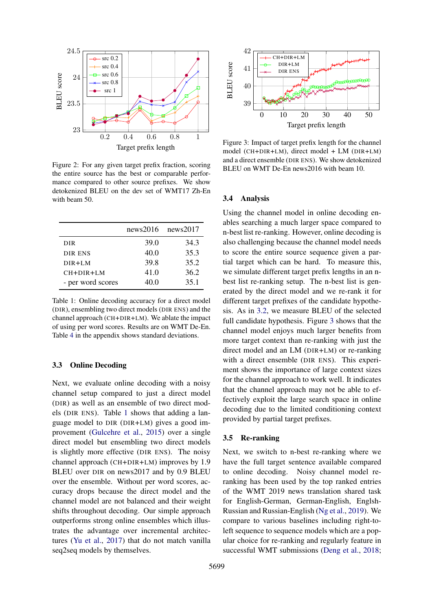<span id="page-3-1"></span>

Figure 2: For any given target prefix fraction, scoring the entire source has the best or comparable performance compared to other source prefixes. We show detokenized BLEU on the dev set of WMT17 Zh-En with beam 50.

<span id="page-3-2"></span>

|                   | news2016 | news2017 |
|-------------------|----------|----------|
| <b>DIR</b>        | 39.0     | 34.3     |
| DIR ENS           | 40.0     | 35.3     |
| $DIR+LM$          | 39.8     | 35.2     |
| $CH + DIR + LM$   | 41.0     | 36.2     |
| - per word scores | 40.0     | 35.1     |

Table 1: Online decoding accuracy for a direct model (DIR), ensembling two direct models (DIR ENS) and the channel approach (CH+DIR+LM). We ablate the impact of using per word scores. Results are on WMT De-En. Table [4](#page--1-0) in the appendix shows standard deviations.

### 3.3 Online Decoding

Next, we evaluate online decoding with a noisy channel setup compared to just a direct model (DIR) as well as an ensemble of two direct models (DIR ENS). Table [1](#page-3-2) shows that adding a language model to DIR (DIR+LM) gives a good improvement [\(Gulcehre et al.,](#page-5-12) [2015\)](#page-5-12) over a single direct model but ensembling two direct models is slightly more effective (DIR ENS). The noisy channel approach (CH+DIR+LM) improves by 1.9 BLEU over DIR on news2017 and by 0.9 BLEU over the ensemble. Without per word scores, accuracy drops because the direct model and the channel model are not balanced and their weight shifts throughout decoding. Our simple approach outperforms strong online ensembles which illustrates the advantage over incremental architectures [\(Yu et al.,](#page-5-5) [2017\)](#page-5-5) that do not match vanilla seq2seq models by themselves.

<span id="page-3-3"></span>

Figure 3: Impact of target prefix length for the channel model (CH+DIR+LM), direct model + LM (DIR+LM) and a direct ensemble (DIR ENS). We show detokenized BLEU on WMT De-En news2016 with beam 10.

#### <span id="page-3-0"></span>3.4 Analysis

Using the channel model in online decoding enables searching a much larger space compared to n-best list re-ranking. However, online decoding is also challenging because the channel model needs to score the entire source sequence given a partial target which can be hard. To measure this, we simulate different target prefix lengths in an nbest list re-ranking setup. The n-best list is generated by the direct model and we re-rank it for different target prefixes of the candidate hypothesis. As in [3.2,](#page-2-1) we measure BLEU of the selected full candidate hypothesis. Figure [3](#page-3-3) shows that the channel model enjoys much larger benefits from more target context than re-ranking with just the direct model and an LM (DIR+LM) or re-ranking with a direct ensemble (DIR ENS). This experiment shows the importance of large context sizes for the channel approach to work well. It indicates that the channel approach may not be able to effectively exploit the large search space in online decoding due to the limited conditioning context provided by partial target prefixes.

#### 3.5 Re-ranking

Next, we switch to n-best re-ranking where we have the full target sentence available compared to online decoding. Noisy channel model reranking has been used by the top ranked entries of the WMT 2019 news translation shared task for English-German, German-English, Englsh-Russian and Russian-English [\(Ng et al.,](#page-5-13) [2019\)](#page-5-13). We compare to various baselines including right-toleft sequence to sequence models which are a popular choice for re-ranking and regularly feature in successful WMT submissions [\(Deng et al.,](#page-4-6) [2018;](#page-4-6)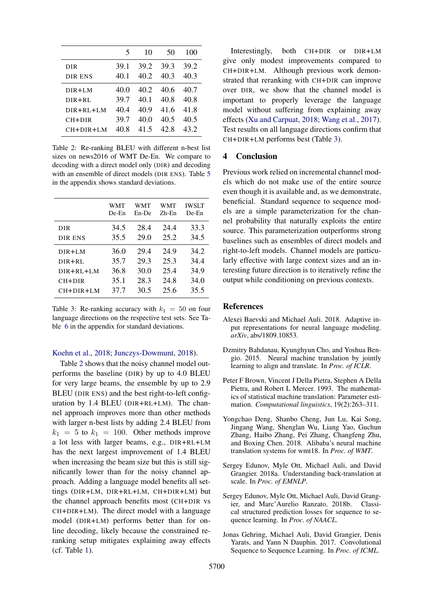<span id="page-4-7"></span>

|                  | 5    | 10   | 50   | 100  |
|------------------|------|------|------|------|
| DIR              | 39.1 | 39.2 | 39.3 | 39.2 |
| DIR ENS          | 40.1 | 40.2 | 40.3 | 40.3 |
| $DIR + I.M$      | 40.0 | 40.2 | 40.6 | 40.7 |
| $DIR + RI$ .     | 39.7 | 40.1 | 40.8 | 40.8 |
| $DIR + R L + LM$ | 40.4 | 40.9 | 41.6 | 41.8 |
| CH+DIR           | 39.7 | 40.0 | 40.5 | 40.5 |
| $CH + DIR + LM$  | 40.8 | 415  | 42 S | 43.2 |

Table 2: Re-ranking BLEU with different n-best list sizes on news2016 of WMT De-En. We compare to decoding with a direct model only (DIR) and decoding with an ensemble of direct models (DIR ENS). Table [5](#page--1-1) in the appendix shows standard deviations.

<span id="page-4-8"></span>

|                  | <b>WMT</b><br>De-En | WMT<br>En-De | WMT<br>$Zh$ -En | <b>IWSLT</b><br>De-En |
|------------------|---------------------|--------------|-----------------|-----------------------|
| <b>DIR</b>       | 34.5                | 28.4         | 24.4            | 33.3                  |
| DIR ENS          | 35.5                | 29.0         | 25.2            | 34.5                  |
| $DIR+LM$         | 36.0                | 29.4         | 24.9            | 34.2                  |
| $DIR + R L$      | 35.7                | 29.3         | 25.3            | 34.4                  |
| $DIR + R L + LM$ | 36.8                | 30.0         | 25.4            | 34.9                  |
| CH+DIR           | 35.1                | 28.3         | 24.8            | 34.0                  |
| $CH+DIR+LM$      | 37.7                | 30.5         | 25.6            | 35.5                  |

Table 3: Re-ranking accuracy with  $k_1 = 50$  on four language directions on the respective test sets. See Table [6](#page--1-2) in the appendix for standard deviations.

#### [Koehn et al.,](#page-5-14) [2018;](#page-5-14) [Junczys-Dowmunt,](#page-5-15) [2018\)](#page-5-15).

Table [2](#page-4-7) shows that the noisy channel model outperforms the baseline (DIR) by up to 4.0 BLEU for very large beams, the ensemble by up to 2.9 BLEU (DIR ENS) and the best right-to-left configuration by 1.4 BLEU (DIR+RL+LM). The channel approach improves more than other methods with larger n-best lists by adding 2.4 BLEU from  $k_1 = 5$  to  $k_1 = 100$ . Other methods improve a lot less with larger beams, e.g., DIR+RL+LM has the next largest improvement of 1.4 BLEU when increasing the beam size but this is still significantly lower than for the noisy channel approach. Adding a language model benefits all settings (DIR+LM, DIR+RL+LM, CH+DIR+LM) but the channel approach benefits most (CH+DIR vs CH+DIR+LM). The direct model with a language model (DIR+LM) performs better than for online decoding, likely because the constrained reranking setup mitigates explaining away effects (cf. Table [1\)](#page-3-2).

Interestingly, both CH+DIR or DIR+LM give only modest improvements compared to CH+DIR+LM. Although previous work demonstrated that reranking with CH+DIR can improve over DIR, we show that the channel model is important to properly leverage the language model without suffering from explaining away effects [\(Xu and Carpuat,](#page-5-16) [2018;](#page-5-16) [Wang et al.,](#page-5-17) [2017\)](#page-5-17). Test results on all language directions confirm that CH+DIR+LM performs best (Table [3\)](#page-4-8).

### 4 Conclusion

Previous work relied on incremental channel models which do not make use of the entire source even though it is available and, as we demonstrate, beneficial. Standard sequence to sequence models are a simple parameterization for the channel probability that naturally exploits the entire source. This parameterization outperforms strong baselines such as ensembles of direct models and right-to-left models. Channel models are particularly effective with large context sizes and an interesting future direction is to iteratively refine the output while conditioning on previous contexts.

#### References

- <span id="page-4-5"></span>Alexei Baevski and Michael Auli. 2018. Adaptive input representations for neural language modeling. *arXiv*, abs/1809.10853.
- <span id="page-4-0"></span>Dzmitry Bahdanau, Kyunghyun Cho, and Yoshua Bengio. 2015. Neural machine translation by jointly learning to align and translate. In *Proc. of ICLR*.
- <span id="page-4-3"></span>Peter F Brown, Vincent J Della Pietra, Stephen A Della Pietra, and Robert L Mercer. 1993. The mathematics of statistical machine translation: Parameter estimation. *Computational linguistics*, 19(2):263–311.
- <span id="page-4-6"></span>Yongchao Deng, Shanbo Cheng, Jun Lu, Kai Song, Jingang Wang, Shenglan Wu, Liang Yao, Guchun Zhang, Haibo Zhang, Pei Zhang, Changfeng Zhu, and Boxing Chen. 2018. Alibaba's neural machine translation systems for wmt18. In *Proc. of WMT*.
- <span id="page-4-2"></span>Sergey Edunov, Myle Ott, Michael Auli, and David Grangier. 2018a. Understanding back-translation at scale. In *Proc. of EMNLP*.
- <span id="page-4-4"></span>Sergey Edunov, Myle Ott, Michael Auli, David Grangier, and Marc'Aurelio Ranzato. 2018b. Classical structured prediction losses for sequence to sequence learning. In *Proc. of NAACL*.
- <span id="page-4-1"></span>Jonas Gehring, Michael Auli, David Grangier, Denis Yarats, and Yann N Dauphin. 2017. Convolutional Sequence to Sequence Learning. In *Proc. of ICML*.